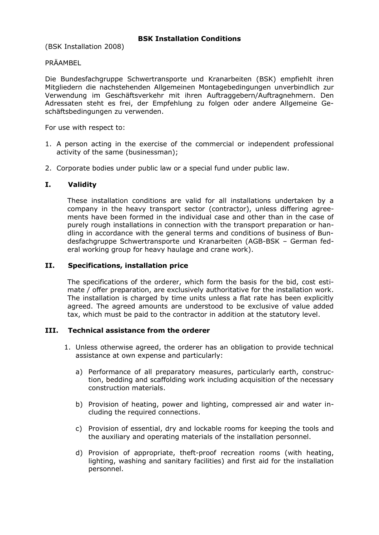(BSK Installation 2008)

# PRÄAMBEL

Die Bundesfachgruppe Schwertransporte und Kranarbeiten (BSK) empfiehlt ihren Mitgliedern die nachstehenden Allgemeinen Montagebedingungen unverbindlich zur Verwendung im Geschäftsverkehr mit ihren Auftraggebern/Auftragnehmern. Den Adressaten steht es frei, der Empfehlung zu folgen oder andere Allgemeine Geschäftsbedingungen zu verwenden.

For use with respect to:

- 1. A person acting in the exercise of the commercial or independent professional activity of the same (businessman);
- 2. Corporate bodies under public law or a special fund under public law.

# **I. Validity**

These installation conditions are valid for all installations undertaken by a company in the heavy transport sector (contractor), unless differing agreements have been formed in the individual case and other than in the case of purely rough installations in connection with the transport preparation or handling in accordance with the general terms and conditions of business of Bundesfachgruppe Schwertransporte und Kranarbeiten (AGB-BSK – German federal working group for heavy haulage and crane work).

#### **II. Specifications, installation price**

The specifications of the orderer, which form the basis for the bid, cost estimate / offer preparation, are exclusively authoritative for the installation work. The installation is charged by time units unless a flat rate has been explicitly agreed. The agreed amounts are understood to be exclusive of value added tax, which must be paid to the contractor in addition at the statutory level.

### **III. Technical assistance from the orderer**

- 1. Unless otherwise agreed, the orderer has an obligation to provide technical assistance at own expense and particularly:
	- a) Performance of all preparatory measures, particularly earth, construction, bedding and scaffolding work including acquisition of the necessary construction materials.
	- b) Provision of heating, power and lighting, compressed air and water including the required connections.
	- c) Provision of essential, dry and lockable rooms for keeping the tools and the auxiliary and operating materials of the installation personnel.
	- d) Provision of appropriate, theft-proof recreation rooms (with heating, lighting, washing and sanitary facilities) and first aid for the installation personnel.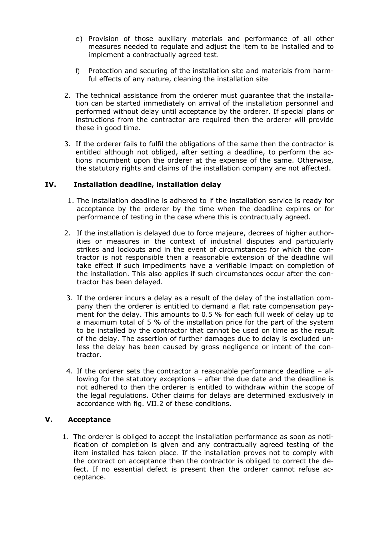- e) Provision of those auxiliary materials and performance of all other measures needed to regulate and adjust the item to be installed and to implement a contractually agreed test.
- f) Protection and securing of the installation site and materials from harmful effects of any nature, cleaning the installation site.
- 2. The technical assistance from the orderer must guarantee that the installation can be started immediately on arrival of the installation personnel and performed without delay until acceptance by the orderer. If special plans or instructions from the contractor are required then the orderer will provide these in good time.
- 3. If the orderer fails to fulfil the obligations of the same then the contractor is entitled although not obliged, after setting a deadline, to perform the actions incumbent upon the orderer at the expense of the same. Otherwise, the statutory rights and claims of the installation company are not affected.

### **IV. Installation deadline, installation delay**

- 1. The installation deadline is adhered to if the installation service is ready for acceptance by the orderer by the time when the deadline expires or for performance of testing in the case where this is contractually agreed.
- 2. If the installation is delayed due to force majeure, decrees of higher authorities or measures in the context of industrial disputes and particularly strikes and lockouts and in the event of circumstances for which the contractor is not responsible then a reasonable extension of the deadline will take effect if such impediments have a verifiable impact on completion of the installation. This also applies if such circumstances occur after the contractor has been delayed.
- 3. If the orderer incurs a delay as a result of the delay of the installation company then the orderer is entitled to demand a flat rate compensation payment for the delay. This amounts to 0.5 % for each full week of delay up to a maximum total of 5 % of the installation price for the part of the system to be installed by the contractor that cannot be used on time as the result of the delay. The assertion of further damages due to delay is excluded unless the delay has been caused by gross negligence or intent of the contractor.
- 4. If the orderer sets the contractor a reasonable performance deadline allowing for the statutory exceptions – after the due date and the deadline is not adhered to then the orderer is entitled to withdraw within the scope of the legal regulations. Other claims for delays are determined exclusively in accordance with fig. VII.2 of these conditions.

### **V. Acceptance**

1. The orderer is obliged to accept the installation performance as soon as notification of completion is given and any contractually agreed testing of the item installed has taken place. If the installation proves not to comply with the contract on acceptance then the contractor is obliged to correct the defect. If no essential defect is present then the orderer cannot refuse acceptance.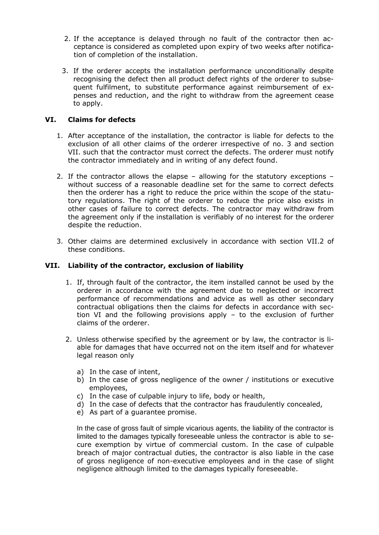- 2. If the acceptance is delayed through no fault of the contractor then acceptance is considered as completed upon expiry of two weeks after notification of completion of the installation.
- 3. If the orderer accepts the installation performance unconditionally despite recognising the defect then all product defect rights of the orderer to subsequent fulfilment, to substitute performance against reimbursement of expenses and reduction, and the right to withdraw from the agreement cease to apply.

# **VI. Claims for defects**

- 1. After acceptance of the installation, the contractor is liable for defects to the exclusion of all other claims of the orderer irrespective of no. 3 and section VII. such that the contractor must correct the defects. The orderer must notify the contractor immediately and in writing of any defect found.
- 2. If the contractor allows the elapse allowing for the statutory exceptions without success of a reasonable deadline set for the same to correct defects then the orderer has a right to reduce the price within the scope of the statutory regulations. The right of the orderer to reduce the price also exists in other cases of failure to correct defects. The contractor may withdraw from the agreement only if the installation is verifiably of no interest for the orderer despite the reduction.
- 3. Other claims are determined exclusively in accordance with section VII.2 of these conditions.

### **VII. Liability of the contractor, exclusion of liability**

- 1. If, through fault of the contractor, the item installed cannot be used by the orderer in accordance with the agreement due to neglected or incorrect performance of recommendations and advice as well as other secondary contractual obligations then the claims for defects in accordance with section VI and the following provisions apply – to the exclusion of further claims of the orderer.
- 2. Unless otherwise specified by the agreement or by law, the contractor is liable for damages that have occurred not on the item itself and for whatever legal reason only
	- a) In the case of intent,
	- b) In the case of gross negligence of the owner / institutions or executive employees,
	- c) In the case of culpable injury to life, body or health,
	- d) In the case of defects that the contractor has fraudulently concealed,
	- e) As part of a guarantee promise.

In the case of gross fault of simple vicarious agents, the liability of the contractor is limited to the damages typically foreseeable unless the contractor is able to secure exemption by virtue of commercial custom. In the case of culpable breach of major contractual duties, the contractor is also liable in the case of gross negligence of non-executive employees and in the case of slight negligence although limited to the damages typically foreseeable.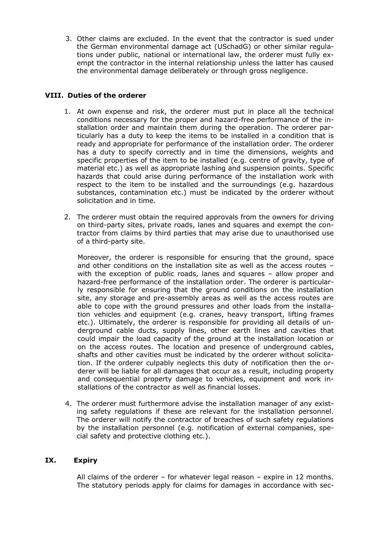3. Other claims are excluded. In the event that the contractor is sued under the German environmental damage act (USchadG) or other similar regulations under public, national or international law, the orderer must fully exempt the contractor in the internal relationship unless the latter has caused the environmental damage deliberately or through gross negligence.

### **VIII. Duties of the orderer**

- 1. At own expense and risk, the orderer must put in place all the technical conditions necessary for the proper and hazard-free performance of the installation order and maintain them during the operation. The orderer particularly has a duty to keep the items to be installed in a condition that is ready and appropriate for performance of the installation order. The orderer has a duty to specify correctly and in time the dimensions, weights and specific properties of the item to be installed (e.g. centre of gravity, type of material etc.) as well as appropriate lashing and suspension points. Specific hazards that could arise during performance of the installation work with respect to the item to be installed and the surroundings (e.g. hazardous substances, contamination etc.) must be indicated by the orderer without solicitation and in time.
- 2. The orderer must obtain the required approvals from the owners for driving on third-party sites, private roads, lanes and squares and exempt the contractor from claims by third parties that may arise due to unauthorised use of a third-party site.

Moreover, the orderer is responsible for ensuring that the ground, space and other conditions on the installation site as well as the access routes – with the exception of public roads, lanes and squares – allow proper and hazard-free performance of the installation order. The orderer is particularly responsible for ensuring that the ground conditions on the installation site, any storage and pre-assembly areas as well as the access routes are able to cope with the ground pressures and other loads from the installation vehicles and equipment (e.g. cranes, heavy transport, lifting frames etc.). Ultimately, the orderer is responsible for providing all details of underground cable ducts, supply lines, other earth lines and cavities that could impair the load capacity of the ground at the installation location or on the access routes. The location and presence of underground cables, shafts and other cavities must be indicated by the orderer without solicitation. If the orderer culpably neglects this duty of notification then the orderer will be liable for all damages that occur as a result, including property and consequential property damage to vehicles, equipment and work installations of the contractor as well as financial losses.

4. The orderer must furthermore advise the installation manager of any existing safety regulations if these are relevant for the installation personnel. The orderer will notify the contractor of breaches of such safety regulations by the installation personnel (e.g. notification of external companies, special safety and protective clothing etc.).

# **IX. Expiry**

All claims of the orderer – for whatever legal reason – expire in 12 months. The statutory periods apply for claims for damages in accordance with sec